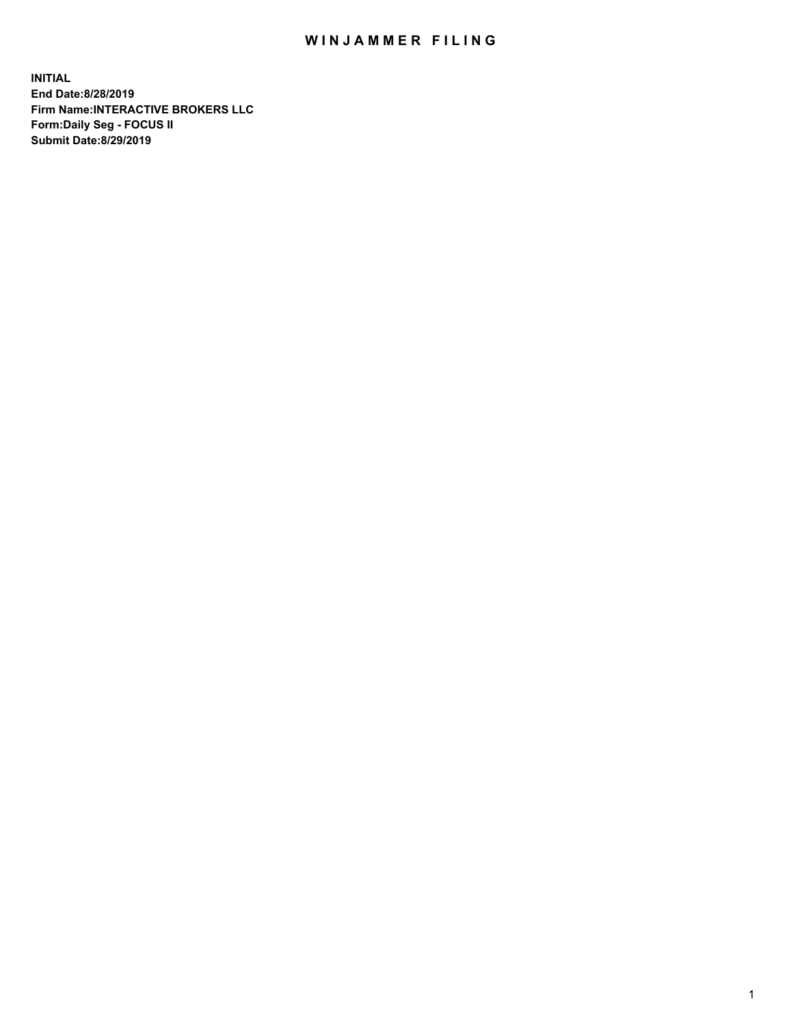## WIN JAMMER FILING

**INITIAL End Date:8/28/2019 Firm Name:INTERACTIVE BROKERS LLC Form:Daily Seg - FOCUS II Submit Date:8/29/2019**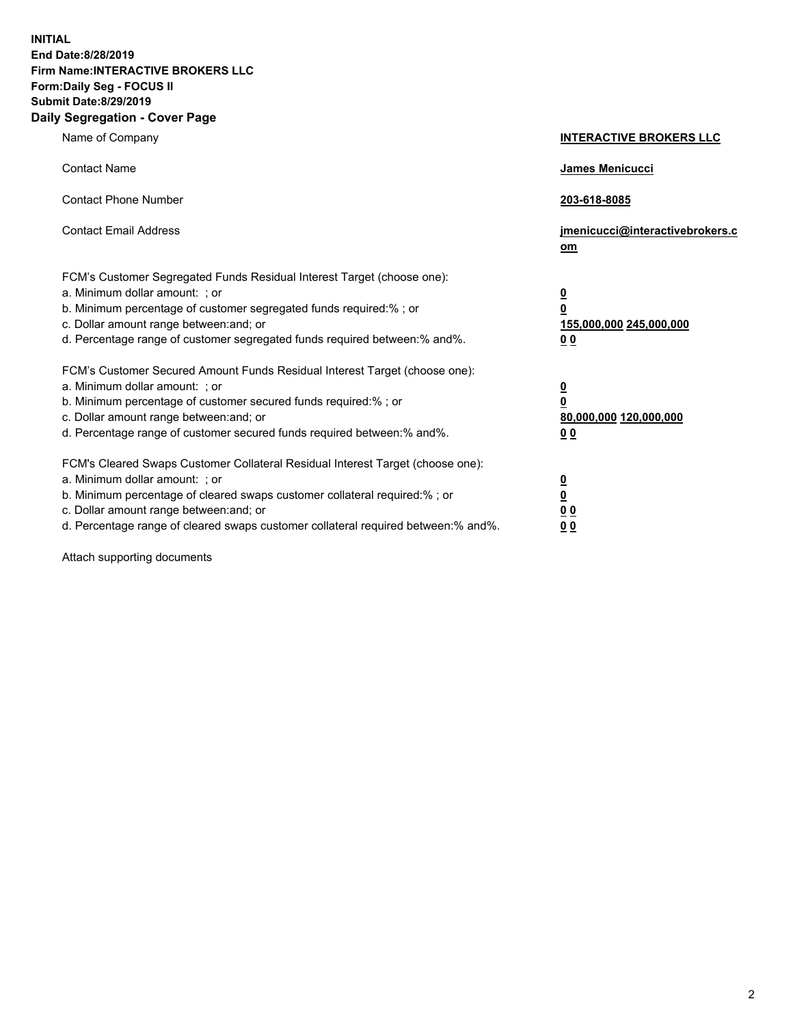**INITIAL End Date:8/28/2019 Firm Name:INTERACTIVE BROKERS LLC Form:Daily Seg - FOCUS II Submit Date:8/29/2019 Daily Segregation - Cover Page**

| Name of Company                                                                                                                                                                                                                                                                                                                | <b>INTERACTIVE BROKERS LLC</b>                                                   |
|--------------------------------------------------------------------------------------------------------------------------------------------------------------------------------------------------------------------------------------------------------------------------------------------------------------------------------|----------------------------------------------------------------------------------|
| <b>Contact Name</b>                                                                                                                                                                                                                                                                                                            | James Menicucci                                                                  |
| <b>Contact Phone Number</b>                                                                                                                                                                                                                                                                                                    | 203-618-8085                                                                     |
| <b>Contact Email Address</b>                                                                                                                                                                                                                                                                                                   | jmenicucci@interactivebrokers.c<br>om                                            |
| FCM's Customer Segregated Funds Residual Interest Target (choose one):<br>a. Minimum dollar amount: ; or<br>b. Minimum percentage of customer segregated funds required:% ; or<br>c. Dollar amount range between: and; or<br>d. Percentage range of customer segregated funds required between:% and%.                         | <u>0</u><br>$\overline{\mathbf{0}}$<br>155,000,000 245,000,000<br>0 <sub>0</sub> |
| FCM's Customer Secured Amount Funds Residual Interest Target (choose one):<br>a. Minimum dollar amount: ; or<br>b. Minimum percentage of customer secured funds required:% ; or<br>c. Dollar amount range between: and; or<br>d. Percentage range of customer secured funds required between:% and%.                           | <u>0</u><br>$\overline{\mathbf{0}}$<br>80,000,000 120,000,000<br>0 <sub>0</sub>  |
| FCM's Cleared Swaps Customer Collateral Residual Interest Target (choose one):<br>a. Minimum dollar amount: ; or<br>b. Minimum percentage of cleared swaps customer collateral required:% ; or<br>c. Dollar amount range between: and; or<br>d. Percentage range of cleared swaps customer collateral required between:% and%. | <u>0</u><br>$\underline{\mathbf{0}}$<br>0 <sub>0</sub><br>0 <sub>0</sub>         |

Attach supporting documents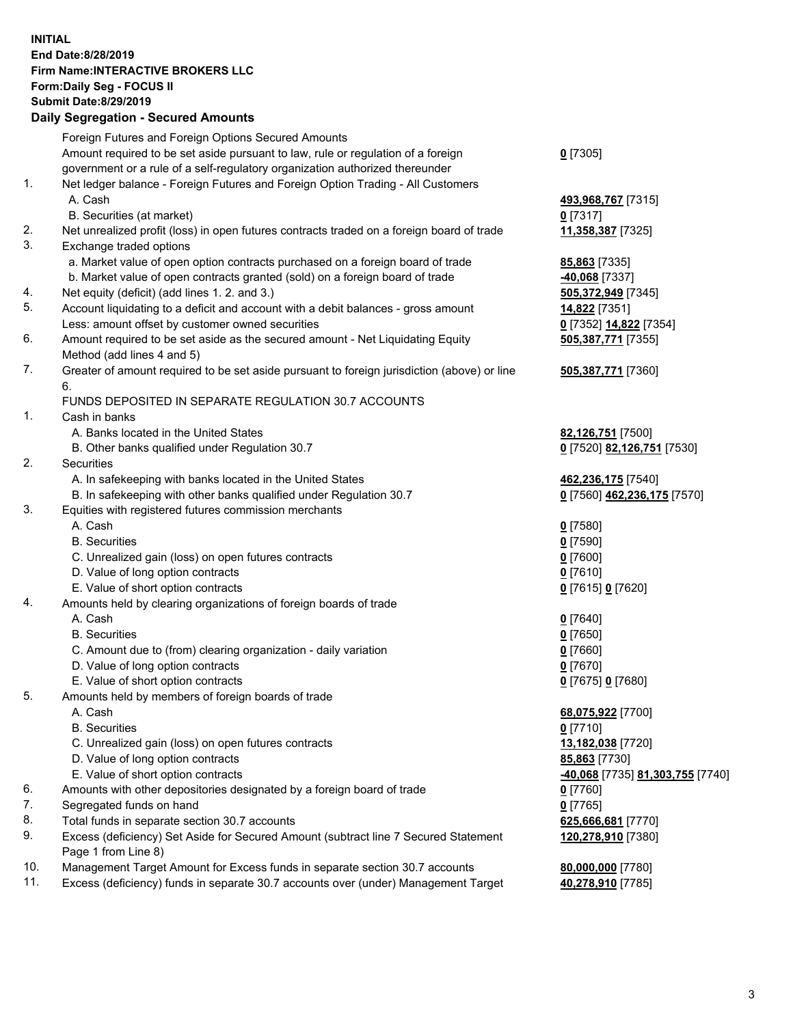## **INITIAL End Date:8/28/2019 Firm Name:INTERACTIVE BROKERS LLC Form:Daily Seg - FOCUS II Submit Date:8/29/2019 Daily Segregation - Secured Amounts**

|     | Dany Jegregation - Jecureu Aniounts                                                                        |                                               |
|-----|------------------------------------------------------------------------------------------------------------|-----------------------------------------------|
|     | Foreign Futures and Foreign Options Secured Amounts                                                        |                                               |
|     | Amount required to be set aside pursuant to law, rule or regulation of a foreign                           | $0$ [7305]                                    |
|     | government or a rule of a self-regulatory organization authorized thereunder                               |                                               |
| 1.  | Net ledger balance - Foreign Futures and Foreign Option Trading - All Customers                            |                                               |
|     | A. Cash                                                                                                    | 493,968,767 [7315]                            |
|     | B. Securities (at market)                                                                                  | $0$ [7317]                                    |
| 2.  | Net unrealized profit (loss) in open futures contracts traded on a foreign board of trade                  | 11,358,387 [7325]                             |
| 3.  | Exchange traded options                                                                                    |                                               |
|     | a. Market value of open option contracts purchased on a foreign board of trade                             | <b>85,863</b> [7335]                          |
|     | b. Market value of open contracts granted (sold) on a foreign board of trade                               | -40,068 [7337]                                |
| 4.  | Net equity (deficit) (add lines 1. 2. and 3.)                                                              | 505,372,949 [7345]                            |
| 5.  | Account liquidating to a deficit and account with a debit balances - gross amount                          | 14,822 [7351]                                 |
|     | Less: amount offset by customer owned securities                                                           | 0 [7352] 14,822 [7354]                        |
| 6.  | Amount required to be set aside as the secured amount - Net Liquidating Equity                             | 505,387,771 [7355]                            |
|     | Method (add lines 4 and 5)                                                                                 |                                               |
| 7.  | Greater of amount required to be set aside pursuant to foreign jurisdiction (above) or line                | 505,387,771 [7360]                            |
|     | 6.                                                                                                         |                                               |
|     | FUNDS DEPOSITED IN SEPARATE REGULATION 30.7 ACCOUNTS                                                       |                                               |
| 1.  | Cash in banks                                                                                              |                                               |
|     | A. Banks located in the United States                                                                      | 82,126,751 [7500]                             |
|     | B. Other banks qualified under Regulation 30.7                                                             | 0 [7520] 82,126,751 [7530]                    |
| 2.  | Securities                                                                                                 |                                               |
|     | A. In safekeeping with banks located in the United States                                                  | 462,236,175 [7540]                            |
|     | B. In safekeeping with other banks qualified under Regulation 30.7                                         | 0 [7560] 462,236,175 [7570]                   |
| 3.  | Equities with registered futures commission merchants                                                      |                                               |
|     | A. Cash                                                                                                    | $0$ [7580]                                    |
|     | <b>B.</b> Securities                                                                                       | $0$ [7590]                                    |
|     | C. Unrealized gain (loss) on open futures contracts                                                        | $0$ [7600]                                    |
|     | D. Value of long option contracts                                                                          | $0$ [7610]                                    |
|     | E. Value of short option contracts                                                                         | 0 [7615] 0 [7620]                             |
| 4.  | Amounts held by clearing organizations of foreign boards of trade                                          |                                               |
|     | A. Cash                                                                                                    | $0$ [7640]                                    |
|     | <b>B.</b> Securities                                                                                       | $0$ [7650]                                    |
|     | C. Amount due to (from) clearing organization - daily variation                                            | $0$ [7660]                                    |
|     | D. Value of long option contracts                                                                          | 0 [7670]                                      |
|     | E. Value of short option contracts                                                                         | 0 [7675] 0 [7680]                             |
| 5.  | Amounts held by members of foreign boards of trade                                                         |                                               |
|     | A. Cash                                                                                                    | 68,075,922 [7700]                             |
|     | <b>B.</b> Securities                                                                                       | $0$ [7710]                                    |
|     | C. Unrealized gain (loss) on open futures contracts                                                        | 13,182,038 [7720]                             |
|     | D. Value of long option contracts                                                                          | 85,863 [7730]                                 |
| 6.  | E. Value of short option contracts                                                                         | <mark>-40,068</mark> [7735] 81,303,755 [7740] |
| 7.  | Amounts with other depositories designated by a foreign board of trade                                     | 0 [7760]                                      |
| 8.  | Segregated funds on hand                                                                                   | $0$ [7765]                                    |
| 9.  | Total funds in separate section 30.7 accounts                                                              | 625,666,681 [7770]                            |
|     | Excess (deficiency) Set Aside for Secured Amount (subtract line 7 Secured Statement<br>Page 1 from Line 8) | 120,278,910 [7380]                            |
| 10. | Management Target Amount for Excess funds in separate section 30.7 accounts                                |                                               |
| 11. | Excess (deficiency) funds in separate 30.7 accounts over (under) Management Target                         | 80,000,000 [7780]<br>40,278,910 [7785]        |
|     |                                                                                                            |                                               |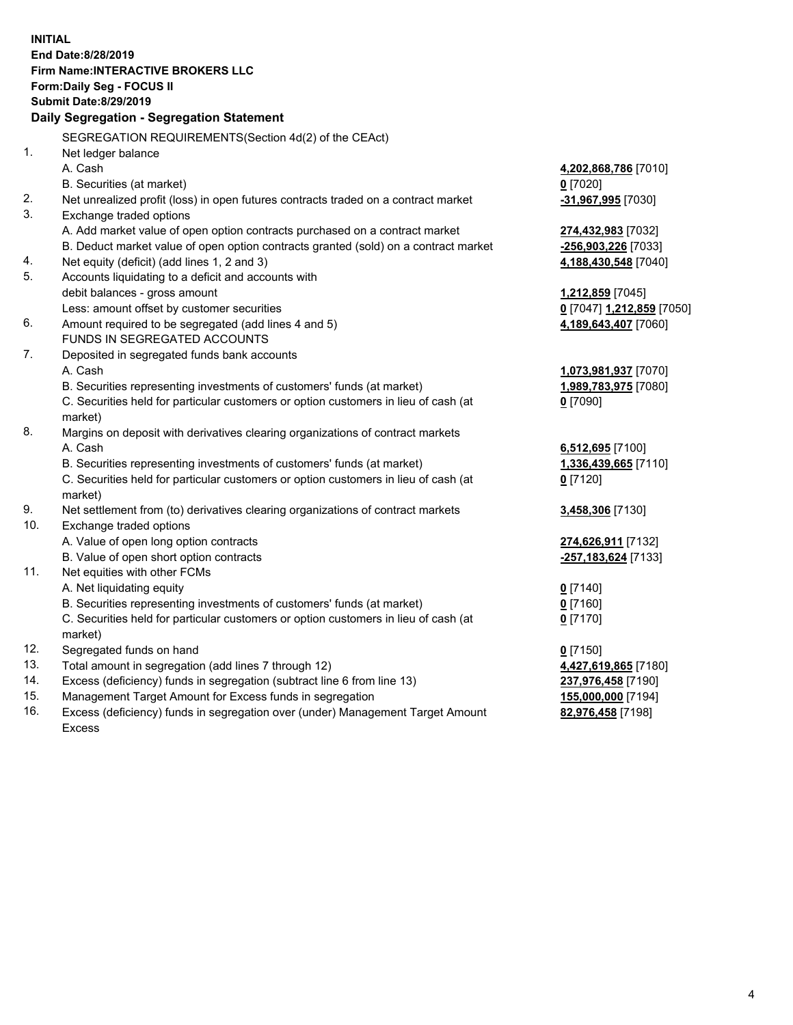**INITIAL End Date:8/28/2019 Firm Name:INTERACTIVE BROKERS LLC Form:Daily Seg - FOCUS II Submit Date:8/29/2019 Daily Segregation - Segregation Statement** SEGREGATION REQUIREMENTS(Section 4d(2) of the CEAct) 1. Net ledger balance A. Cash **4,202,868,786** [7010] B. Securities (at market) **0** [7020] 2. Net unrealized profit (loss) in open futures contracts traded on a contract market **-31,967,995** [7030] 3. Exchange traded options A. Add market value of open option contracts purchased on a contract market **274,432,983** [7032] B. Deduct market value of open option contracts granted (sold) on a contract market **-256,903,226** [7033] 4. Net equity (deficit) (add lines 1, 2 and 3) **4,188,430,548** [7040] 5. Accounts liquidating to a deficit and accounts with debit balances - gross amount **1,212,859** [7045] Less: amount offset by customer securities **0** [7047] **1,212,859** [7050] 6. Amount required to be segregated (add lines 4 and 5) **4,189,643,407** [7060] FUNDS IN SEGREGATED ACCOUNTS 7. Deposited in segregated funds bank accounts A. Cash **1,073,981,937** [7070] B. Securities representing investments of customers' funds (at market) **1,989,783,975** [7080] C. Securities held for particular customers or option customers in lieu of cash (at market) **0** [7090] 8. Margins on deposit with derivatives clearing organizations of contract markets A. Cash **6,512,695** [7100] B. Securities representing investments of customers' funds (at market) **1,336,439,665** [7110] C. Securities held for particular customers or option customers in lieu of cash (at market) **0** [7120] 9. Net settlement from (to) derivatives clearing organizations of contract markets **3,458,306** [7130] 10. Exchange traded options A. Value of open long option contracts **274,626,911** [7132] B. Value of open short option contracts **-257,183,624** [7133] 11. Net equities with other FCMs A. Net liquidating equity **0** [7140] B. Securities representing investments of customers' funds (at market) **0** [7160] C. Securities held for particular customers or option customers in lieu of cash (at market) **0** [7170] 12. Segregated funds on hand **0** [7150] 13. Total amount in segregation (add lines 7 through 12) **4,427,619,865** [7180] 14. Excess (deficiency) funds in segregation (subtract line 6 from line 13) **237,976,458** [7190] 15. Management Target Amount for Excess funds in segregation **155,000,000** [7194] **82,976,458** [7198]

16. Excess (deficiency) funds in segregation over (under) Management Target Amount Excess